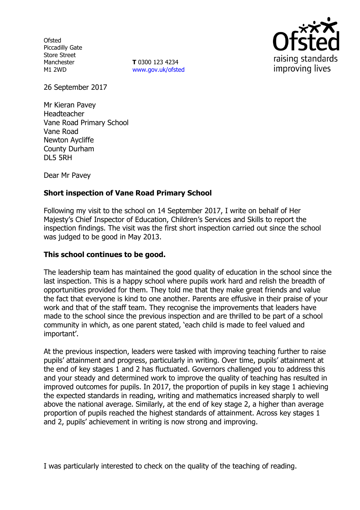**Ofsted** Piccadilly Gate Store Street Manchester M1 2WD

**T** 0300 123 4234 www.gov.uk/ofsted



26 September 2017

Mr Kieran Pavey Headteacher Vane Road Primary School Vane Road Newton Aycliffe County Durham DL5 5RH

Dear Mr Pavey

## **Short inspection of Vane Road Primary School**

Following my visit to the school on 14 September 2017, I write on behalf of Her Majesty"s Chief Inspector of Education, Children"s Services and Skills to report the inspection findings. The visit was the first short inspection carried out since the school was judged to be good in May 2013.

### **This school continues to be good.**

The leadership team has maintained the good quality of education in the school since the last inspection. This is a happy school where pupils work hard and relish the breadth of opportunities provided for them. They told me that they make great friends and value the fact that everyone is kind to one another. Parents are effusive in their praise of your work and that of the staff team. They recognise the improvements that leaders have made to the school since the previous inspection and are thrilled to be part of a school community in which, as one parent stated, "each child is made to feel valued and important'.

At the previous inspection, leaders were tasked with improving teaching further to raise pupils" attainment and progress, particularly in writing. Over time, pupils" attainment at the end of key stages 1 and 2 has fluctuated. Governors challenged you to address this and your steady and determined work to improve the quality of teaching has resulted in improved outcomes for pupils. In 2017, the proportion of pupils in key stage 1 achieving the expected standards in reading, writing and mathematics increased sharply to well above the national average. Similarly, at the end of key stage 2, a higher than average proportion of pupils reached the highest standards of attainment. Across key stages 1 and 2, pupils' achievement in writing is now strong and improving.

I was particularly interested to check on the quality of the teaching of reading.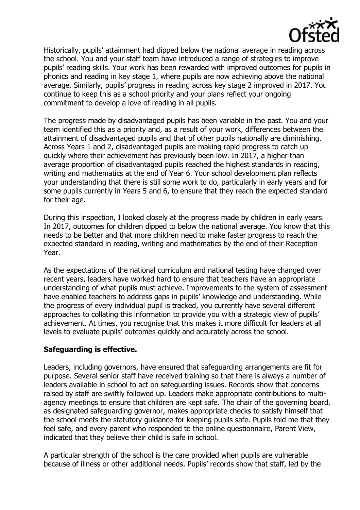

Historically, pupils' attainment had dipped below the national average in reading across the school. You and your staff team have introduced a range of strategies to improve pupils" reading skills. Your work has been rewarded with improved outcomes for pupils in phonics and reading in key stage 1, where pupils are now achieving above the national average. Similarly, pupils" progress in reading across key stage 2 improved in 2017. You continue to keep this as a school priority and your plans reflect your ongoing commitment to develop a love of reading in all pupils.

The progress made by disadvantaged pupils has been variable in the past. You and your team identified this as a priority and, as a result of your work, differences between the attainment of disadvantaged pupils and that of other pupils nationally are diminishing. Across Years 1 and 2, disadvantaged pupils are making rapid progress to catch up quickly where their achievement has previously been low. In 2017, a higher than average proportion of disadvantaged pupils reached the highest standards in reading, writing and mathematics at the end of Year 6. Your school development plan reflects your understanding that there is still some work to do, particularly in early years and for some pupils currently in Years 5 and 6, to ensure that they reach the expected standard for their age.

During this inspection, I looked closely at the progress made by children in early years. In 2017, outcomes for children dipped to below the national average. You know that this needs to be better and that more children need to make faster progress to reach the expected standard in reading, writing and mathematics by the end of their Reception Year.

As the expectations of the national curriculum and national testing have changed over recent years, leaders have worked hard to ensure that teachers have an appropriate understanding of what pupils must achieve. Improvements to the system of assessment have enabled teachers to address gaps in pupils' knowledge and understanding. While the progress of every individual pupil is tracked, you currently have several different approaches to collating this information to provide you with a strategic view of pupils' achievement. At times, you recognise that this makes it more difficult for leaders at all levels to evaluate pupils" outcomes quickly and accurately across the school.

### **Safeguarding is effective.**

Leaders, including governors, have ensured that safeguarding arrangements are fit for purpose. Several senior staff have received training so that there is always a number of leaders available in school to act on safeguarding issues. Records show that concerns raised by staff are swiftly followed up. Leaders make appropriate contributions to multiagency meetings to ensure that children are kept safe. The chair of the governing board, as designated safeguarding governor, makes appropriate checks to satisfy himself that the school meets the statutory guidance for keeping pupils safe. Pupils told me that they feel safe, and every parent who responded to the online questionnaire, Parent View, indicated that they believe their child is safe in school.

A particular strength of the school is the care provided when pupils are vulnerable because of illness or other additional needs. Pupils" records show that staff, led by the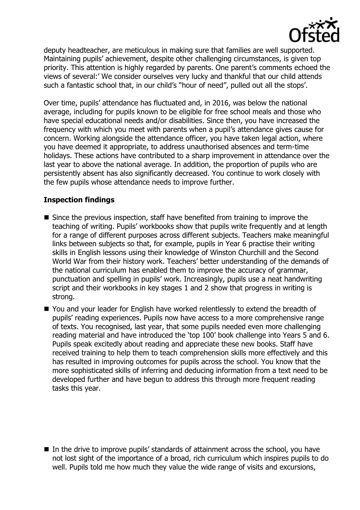

deputy headteacher, are meticulous in making sure that families are well supported. Maintaining pupils' achievement, despite other challenging circumstances, is given top priority. This attention is highly regarded by parents. One parent's comments echoed the views of several:" We consider ourselves very lucky and thankful that our child attends such a fantastic school that, in our child's "hour of need", pulled out all the stops'.

Over time, pupils" attendance has fluctuated and, in 2016, was below the national average, including for pupils known to be eligible for free school meals and those who have special educational needs and/or disabilities. Since then, you have increased the frequency with which you meet with parents when a pupil"s attendance gives cause for concern. Working alongside the attendance officer, you have taken legal action, where you have deemed it appropriate, to address unauthorised absences and term-time holidays. These actions have contributed to a sharp improvement in attendance over the last year to above the national average. In addition, the proportion of pupils who are persistently absent has also significantly decreased. You continue to work closely with the few pupils whose attendance needs to improve further.

## **Inspection findings**

- Since the previous inspection, staff have benefited from training to improve the teaching of writing. Pupils" workbooks show that pupils write frequently and at length for a range of different purposes across different subjects. Teachers make meaningful links between subjects so that, for example, pupils in Year 6 practise their writing skills in English lessons using their knowledge of Winston Churchill and the Second World War from their history work. Teachers' better understanding of the demands of the national curriculum has enabled them to improve the accuracy of grammar, punctuation and spelling in pupils" work. Increasingly, pupils use a neat handwriting script and their workbooks in key stages 1 and 2 show that progress in writing is strong.
- You and your leader for English have worked relentlessly to extend the breadth of pupils' reading experiences. Pupils now have access to a more comprehensive range of texts. You recognised, last year, that some pupils needed even more challenging reading material and have introduced the "top 100" book challenge into Years 5 and 6. Pupils speak excitedly about reading and appreciate these new books. Staff have received training to help them to teach comprehension skills more effectively and this has resulted in improving outcomes for pupils across the school. You know that the more sophisticated skills of inferring and deducing information from a text need to be developed further and have begun to address this through more frequent reading tasks this year.

 $\blacksquare$  In the drive to improve pupils' standards of attainment across the school, you have not lost sight of the importance of a broad, rich curriculum which inspires pupils to do well. Pupils told me how much they value the wide range of visits and excursions,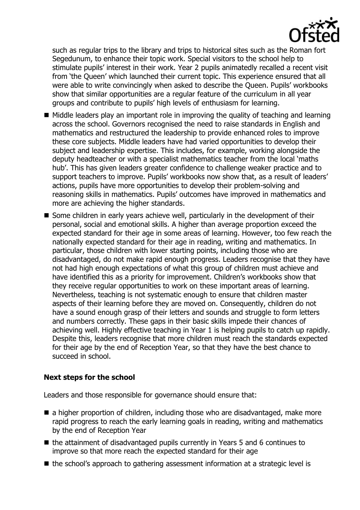

such as regular trips to the library and trips to historical sites such as the Roman fort Segedunum, to enhance their topic work. Special visitors to the school help to stimulate pupils" interest in their work. Year 2 pupils animatedly recalled a recent visit from "the Queen" which launched their current topic. This experience ensured that all were able to write convincingly when asked to describe the Queen. Pupils' workbooks show that similar opportunities are a regular feature of the curriculum in all year groups and contribute to pupils" high levels of enthusiasm for learning.

- Middle leaders play an important role in improving the quality of teaching and learning across the school. Governors recognised the need to raise standards in English and mathematics and restructured the leadership to provide enhanced roles to improve these core subjects. Middle leaders have had varied opportunities to develop their subject and leadership expertise. This includes, for example, working alongside the deputy headteacher or with a specialist mathematics teacher from the local "maths hub". This has given leaders greater confidence to challenge weaker practice and to support teachers to improve. Pupils' workbooks now show that, as a result of leaders' actions, pupils have more opportunities to develop their problem-solving and reasoning skills in mathematics. Pupils" outcomes have improved in mathematics and more are achieving the higher standards.
- Some children in early years achieve well, particularly in the development of their personal, social and emotional skills. A higher than average proportion exceed the expected standard for their age in some areas of learning. However, too few reach the nationally expected standard for their age in reading, writing and mathematics. In particular, those children with lower starting points, including those who are disadvantaged, do not make rapid enough progress. Leaders recognise that they have not had high enough expectations of what this group of children must achieve and have identified this as a priority for improvement. Children's workbooks show that they receive regular opportunities to work on these important areas of learning. Nevertheless, teaching is not systematic enough to ensure that children master aspects of their learning before they are moved on. Consequently, children do not have a sound enough grasp of their letters and sounds and struggle to form letters and numbers correctly. These gaps in their basic skills impede their chances of achieving well. Highly effective teaching in Year 1 is helping pupils to catch up rapidly. Despite this, leaders recognise that more children must reach the standards expected for their age by the end of Reception Year, so that they have the best chance to succeed in school.

# **Next steps for the school**

Leaders and those responsible for governance should ensure that:

- $\blacksquare$  a higher proportion of children, including those who are disadvantaged, make more rapid progress to reach the early learning goals in reading, writing and mathematics by the end of Reception Year
- $\blacksquare$  the attainment of disadvantaged pupils currently in Years 5 and 6 continues to improve so that more reach the expected standard for their age
- the school's approach to gathering assessment information at a strategic level is